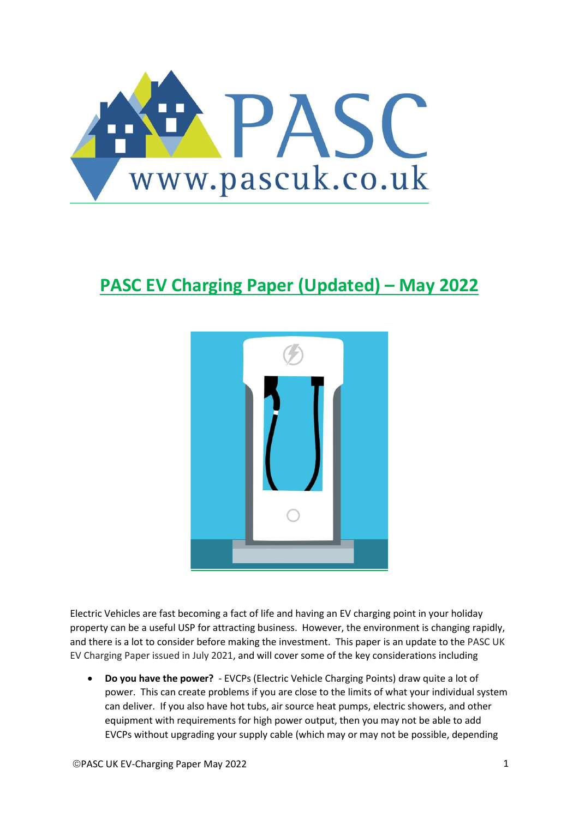

# **PASC EV Charging Paper (Updated) – May 2022**



Electric Vehicles are fast becoming a fact of life and having an EV charging point in your holiday property can be a useful USP for attracting business. However, the environment is changing rapidly, and there is a lot to consider before making the investment. This paper is an update to the PASC UK EV Charging Paper issued in July 2021, and will cover some of the key considerations including

• **Do you have the power?** - EVCPs (Electric Vehicle Charging Points) draw quite a lot of power. This can create problems if you are close to the limits of what your individual system can deliver. If you also have hot tubs, air source heat pumps, electric showers, and other equipment with requirements for high power output, then you may not be able to add EVCPs without upgrading your supply cable (which may or may not be possible, depending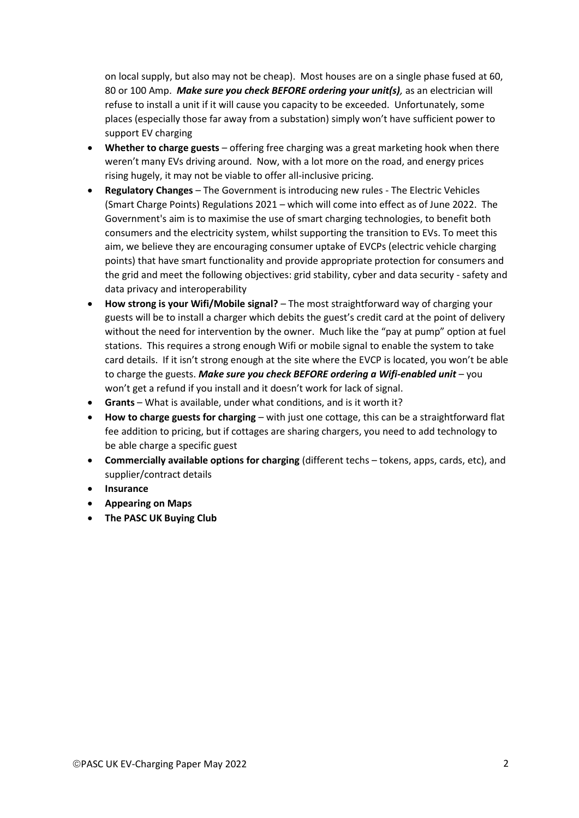on local supply, but also may not be cheap). Most houses are on a single phase fused at 60, 80 or 100 Amp. *Make sure you check BEFORE ordering your unit(s),* as an electrician will refuse to install a unit if it will cause you capacity to be exceeded. Unfortunately, some places (especially those far away from a substation) simply won't have sufficient power to support EV charging

- **Whether to charge guests** offering free charging was a great marketing hook when there weren't many EVs driving around. Now, with a lot more on the road, and energy prices rising hugely, it may not be viable to offer all-inclusive pricing.
- **Regulatory Changes** The Government is introducing new rules The Electric Vehicles (Smart Charge Points) Regulations 2021 – which will come into effect as of June 2022. The Government's aim is to maximise the use of smart charging technologies, to benefit both consumers and the electricity system, whilst supporting the transition to EVs. To meet this aim, we believe they are encouraging consumer uptake of EVCPs (electric vehicle charging points) that have smart functionality and provide appropriate protection for consumers and the grid and meet the following objectives: grid stability, cyber and data security - safety and data privacy and interoperability
- **How strong is your Wifi/Mobile signal?** The most straightforward way of charging your guests will be to install a charger which debits the guest's credit card at the point of delivery without the need for intervention by the owner. Much like the "pay at pump" option at fuel stations. This requires a strong enough Wifi or mobile signal to enable the system to take card details. If it isn't strong enough at the site where the EVCP is located, you won't be able to charge the guests. *Make sure you check BEFORE ordering a Wifi-enabled unit* – you won't get a refund if you install and it doesn't work for lack of signal.
- **Grants**  What is available, under what conditions, and is it worth it?
- **How to charge guests for charging** with just one cottage, this can be a straightforward flat fee addition to pricing, but if cottages are sharing chargers, you need to add technology to be able charge a specific guest
- **Commercially available options for charging** (different techs tokens, apps, cards, etc), and supplier/contract details
- **Insurance**
- **Appearing on Maps**
- **The PASC UK Buying Club**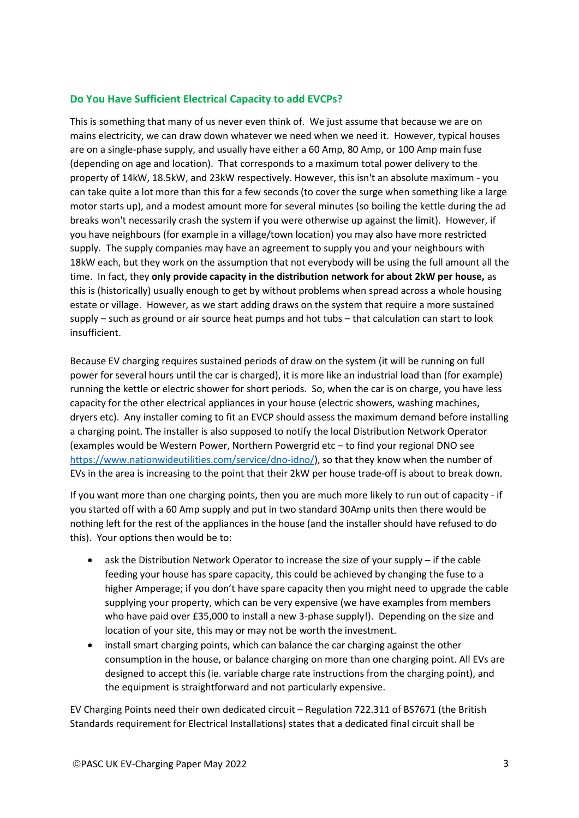# **Do You Have Sufficient Electrical Capacity to add EVCPs?**

This is something that many of us never even think of. We just assume that because we are on mains electricity, we can draw down whatever we need when we need it. However, typical houses are on a single-phase supply, and usually have either a 60 Amp, 80 Amp, or 100 Amp main fuse (depending on age and location). That corresponds to a maximum total power delivery to the property of 14kW, 18.5kW, and 23kW respectively. However, this isn't an absolute maximum - you can take quite a lot more than this for a few seconds (to cover the surge when something like a large motor starts up), and a modest amount more for several minutes (so boiling the kettle during the ad breaks won't necessarily crash the system if you were otherwise up against the limit). However, if you have neighbours (for example in a village/town location) you may also have more restricted supply. The supply companies may have an agreement to supply you and your neighbours with 18kW each, but they work on the assumption that not everybody will be using the full amount all the time. In fact, they **only provide capacity in the distribution network for about 2kW per house,** as this is (historically) usually enough to get by without problems when spread across a whole housing estate or village. However, as we start adding draws on the system that require a more sustained supply – such as ground or air source heat pumps and hot tubs – that calculation can start to look insufficient.

Because EV charging requires sustained periods of draw on the system (it will be running on full power for several hours until the car is charged), it is more like an industrial load than (for example) running the kettle or electric shower for short periods. So, when the car is on charge, you have less capacity for the other electrical appliances in your house (electric showers, washing machines, dryers etc). Any installer coming to fit an EVCP should assess the maximum demand before installing a charging point. The installer is also supposed to notify the local Distribution Network Operator (examples would be Western Power, Northern Powergrid etc – to find your regional DNO see [https://www.nationwideutilities.com/service/dno-idno/\)](https://www.nationwideutilities.com/service/dno-idno/), so that they know when the number of EVs in the area is increasing to the point that their 2kW per house trade-off is about to break down.

If you want more than one charging points, then you are much more likely to run out of capacity - if you started off with a 60 Amp supply and put in two standard 30Amp units then there would be nothing left for the rest of the appliances in the house (and the installer should have refused to do this). Your options then would be to:

- ask the Distribution Network Operator to increase the size of your supply if the cable feeding your house has spare capacity, this could be achieved by changing the fuse to a higher Amperage; if you don't have spare capacity then you might need to upgrade the cable supplying your property, which can be very expensive (we have examples from members who have paid over £35,000 to install a new 3-phase supply!). Depending on the size and location of your site, this may or may not be worth the investment.
- install smart charging points, which can balance the car charging against the other consumption in the house, or balance charging on more than one charging point. All EVs are designed to accept this (ie. variable charge rate instructions from the charging point), and the equipment is straightforward and not particularly expensive.

EV Charging Points need their own dedicated circuit – Regulation 722.311 of BS7671 (the British Standards requirement for Electrical Installations) states that a dedicated final circuit shall be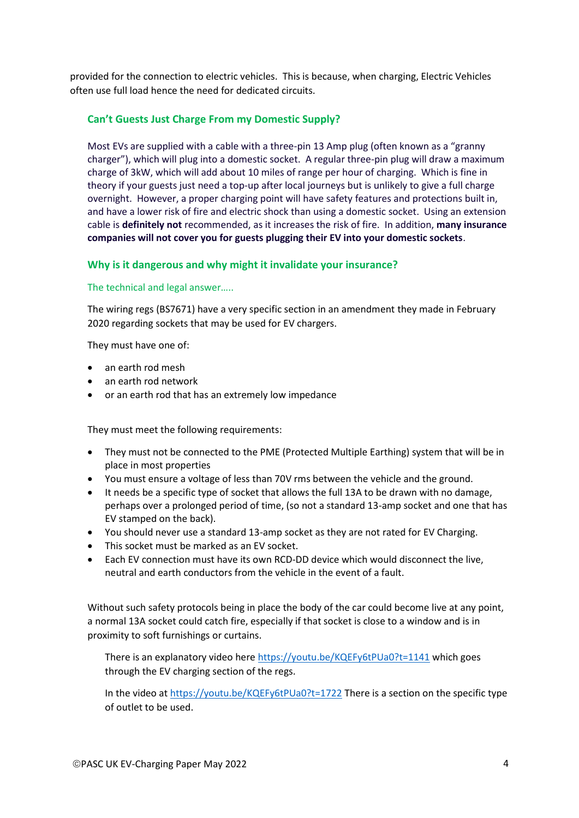provided for the connection to electric vehicles. This is because, when charging, Electric Vehicles often use full load hence the need for dedicated circuits.

# **Can't Guests Just Charge From my Domestic Supply?**

Most EVs are supplied with a cable with a three-pin 13 Amp plug (often known as a "granny charger"), which will plug into a domestic socket. A regular three-pin plug will draw a maximum charge of 3kW, which will add about 10 miles of range per hour of charging. Which is fine in theory if your guests just need a top-up after local journeys but is unlikely to give a full charge overnight. However, a proper charging point will have safety features and protections built in, and have a lower risk of fire and electric shock than using a domestic socket. Using an extension cable is **definitely not** recommended, as it increases the risk of fire. In addition, **many insurance companies will not cover you for guests plugging their EV into your domestic sockets**.

# **Why is it dangerous and why might it invalidate your insurance?**

### The technical and legal answer…..

The wiring regs (BS7671) have a very specific section in an amendment they made in February 2020 regarding sockets that may be used for EV chargers.

They must have one of:

- an earth rod mesh
- an earth rod network
- or an earth rod that has an extremely low impedance

They must meet the following requirements:

- They must not be connected to the PME (Protected Multiple Earthing) system that will be in place in most properties
- You must ensure a voltage of less than 70V rms between the vehicle and the ground.
- It needs be a specific type of socket that allows the full 13A to be drawn with no damage, perhaps over a prolonged period of time, (so not a standard 13-amp socket and one that has EV stamped on the back).
- You should never use a standard 13-amp socket as they are not rated for EV Charging.
- This socket must be marked as an EV socket.
- Each EV connection must have its own RCD-DD device which would disconnect the live, neutral and earth conductors from the vehicle in the event of a fault.

Without such safety protocols being in place the body of the car could become live at any point, a normal 13A socket could catch fire, especially if that socket is close to a window and is in proximity to soft furnishings or curtains.

There is an explanatory video here <https://youtu.be/KQEFy6tPUa0?t=1141> which goes through the EV charging section of the regs.

In the video at <https://youtu.be/KQEFy6tPUa0?t=1722> There is a section on the specific type of outlet to be used.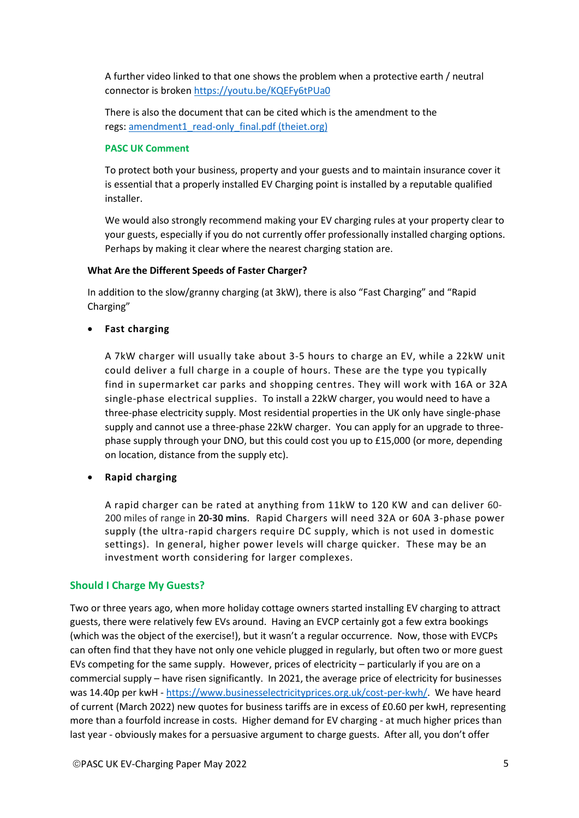A further video linked to that one shows the problem when a protective earth / neutral connector is broken <https://youtu.be/KQEFy6tPUa0>

There is also the document that can be cited which is the amendment to the regs: [amendment1\\_read-only\\_final.pdf \(theiet.org\)](https://electrical.theiet.org/media/2337/amendment1_read-only_final.pdf#:~:text=Amendment%201%3A2020%20to%20BS%207671%3A2018%20Requirements%20for%20Electrical,to%20comply%20with%20BS%207671%3A2018%20incorporating%20Amendment%201%3A2020.)

# **PASC UK Comment**

To protect both your business, property and your guests and to maintain insurance cover it is essential that a properly installed EV Charging point is installed by a reputable qualified installer.

We would also strongly recommend making your EV charging rules at your property clear to your guests, especially if you do not currently offer professionally installed charging options. Perhaps by making it clear where the nearest charging station are.

# **What Are the Different Speeds of Faster Charger?**

In addition to the slow/granny charging (at 3kW), there is also "Fast Charging" and "Rapid Charging"

• **Fast charging**

A 7kW charger will usually take about 3-5 hours to charge an EV, while a 22kW unit could deliver a full charge in a couple of hours. These are the type you typically find in supermarket car parks and shopping centres. They will work with 16A or 32A single-phase electrical supplies. To install a 22kW charger, you would need to have a three-phase electricity supply. Most residential properties in the UK only have single-phase supply and cannot use a three-phase 22kW charger. You can apply for an upgrade to threephase supply through your DNO, but this could cost you up to £15,000 (or more, depending on location, distance from the supply etc).

• **Rapid charging**

A rapid charger can be rated at anything from 11kW to 120 KW and can deliver 60- 200 miles of range in **20-30 mins**. Rapid Chargers will need 32A or 60A 3-phase power supply (the ultra-rapid chargers require DC supply, which is not used in domestic settings). In general, higher power levels will charge quicker. These may be an investment worth considering for larger complexes.

# **Should I Charge My Guests?**

Two or three years ago, when more holiday cottage owners started installing EV charging to attract guests, there were relatively few EVs around. Having an EVCP certainly got a few extra bookings (which was the object of the exercise!), but it wasn't a regular occurrence. Now, those with EVCPs can often find that they have not only one vehicle plugged in regularly, but often two or more guest EVs competing for the same supply. However, prices of electricity – particularly if you are on a commercial supply – have risen significantly. In 2021, the average price of electricity for businesses was 14.40p per kwH - [https://www.businesselectricityprices.org.uk/cost-per-kwh/.](https://www.businesselectricityprices.org.uk/cost-per-kwh/) We have heard of current (March 2022) new quotes for business tariffs are in excess of £0.60 per kwH, representing more than a fourfold increase in costs. Higher demand for EV charging - at much higher prices than last year - obviously makes for a persuasive argument to charge guests. After all, you don't offer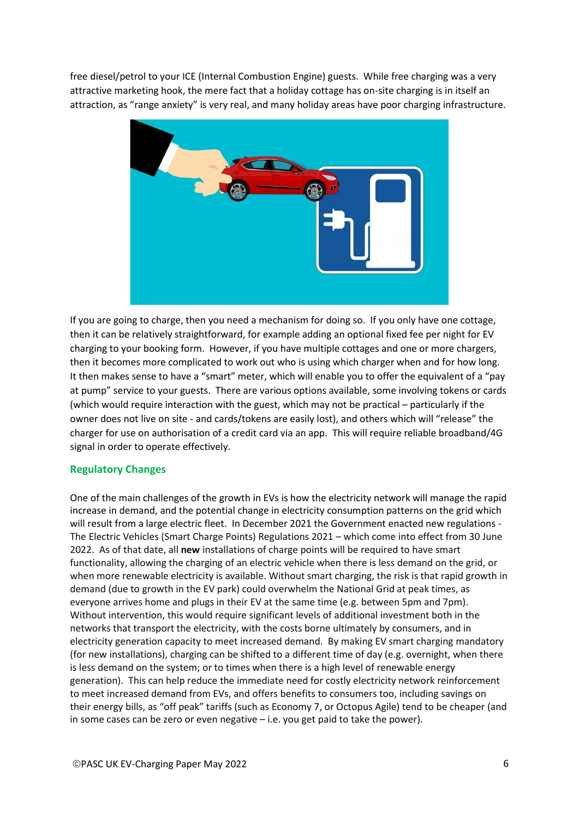free diesel/petrol to your ICE (Internal Combustion Engine) guests. While free charging was a very attractive marketing hook, the mere fact that a holiday cottage has on-site charging is in itself an attraction, as "range anxiety" is very real, and many holiday areas have poor charging infrastructure.



If you are going to charge, then you need a mechanism for doing so. If you only have one cottage, then it can be relatively straightforward, for example adding an optional fixed fee per night for EV charging to your booking form. However, if you have multiple cottages and one or more chargers, then it becomes more complicated to work out who is using which charger when and for how long. It then makes sense to have a "smart" meter, which will enable you to offer the equivalent of a "pay at pump" service to your guests. There are various options available, some involving tokens or cards (which would require interaction with the guest, which may not be practical – particularly if the owner does not live on site - and cards/tokens are easily lost), and others which will "release" the charger for use on authorisation of a credit card via an app. This will require reliable broadband/4G signal in order to operate effectively.

# **Regulatory Changes**

One of the main challenges of the growth in EVs is how the electricity network will manage the rapid increase in demand, and the potential change in electricity consumption patterns on the grid which will result from a large electric fleet. In December 2021 the Government enacted new regulations - The Electric Vehicles (Smart Charge Points) Regulations 2021 – which come into effect from 30 June 2022. As of that date, all **new** installations of charge points will be required to have smart functionality, allowing the charging of an electric vehicle when there is less demand on the grid, or when more renewable electricity is available. Without smart charging, the risk is that rapid growth in demand (due to growth in the EV park) could overwhelm the National Grid at peak times, as everyone arrives home and plugs in their EV at the same time (e.g. between 5pm and 7pm). Without intervention, this would require significant levels of additional investment both in the networks that transport the electricity, with the costs borne ultimately by consumers, and in electricity generation capacity to meet increased demand. By making EV smart charging mandatory (for new installations), charging can be shifted to a different time of day (e.g. overnight, when there is less demand on the system; or to times when there is a high level of renewable energy generation). This can help reduce the immediate need for costly electricity network reinforcement to meet increased demand from EVs, and offers benefits to consumers too, including savings on their energy bills, as "off peak" tariffs (such as Economy 7, or Octopus Agile) tend to be cheaper (and in some cases can be zero or even negative – i.e. you get paid to take the power).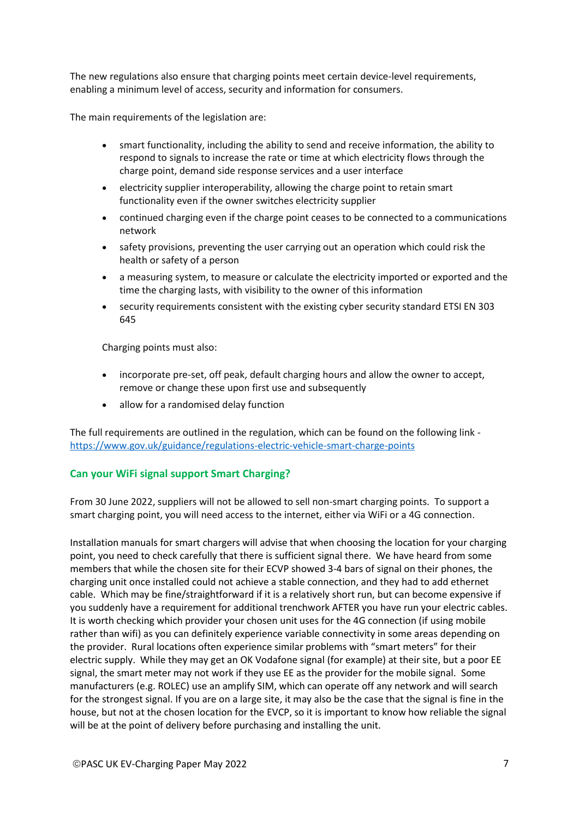The new regulations also ensure that charging points meet certain device-level requirements, enabling a minimum level of access, security and information for consumers.

The main requirements of the legislation are:

- smart functionality, including the ability to send and receive information, the ability to respond to signals to increase the rate or time at which electricity flows through the charge point, demand side response services and a user interface
- electricity supplier interoperability, allowing the charge point to retain smart functionality even if the owner switches electricity supplier
- continued charging even if the charge point ceases to be connected to a communications network
- safety provisions, preventing the user carrying out an operation which could risk the health or safety of a person
- a measuring system, to measure or calculate the electricity imported or exported and the time the charging lasts, with visibility to the owner of this information
- security requirements consistent with the existing cyber security standard ETSI EN 303 645

Charging points must also:

- incorporate pre-set, off peak, default charging hours and allow the owner to accept, remove or change these upon first use and subsequently
- allow for a randomised delay function

The full requirements are outlined in the regulation, which can be found on the following link <https://www.gov.uk/guidance/regulations-electric-vehicle-smart-charge-points>

# **Can your WiFi signal support Smart Charging?**

From 30 June 2022, suppliers will not be allowed to sell non-smart charging points. To support a smart charging point, you will need access to the internet, either via WiFi or a 4G connection.

Installation manuals for smart chargers will advise that when choosing the location for your charging point, you need to check carefully that there is sufficient signal there. We have heard from some members that while the chosen site for their ECVP showed 3-4 bars of signal on their phones, the charging unit once installed could not achieve a stable connection, and they had to add ethernet cable. Which may be fine/straightforward if it is a relatively short run, but can become expensive if you suddenly have a requirement for additional trenchwork AFTER you have run your electric cables. It is worth checking which provider your chosen unit uses for the 4G connection (if using mobile rather than wifi) as you can definitely experience variable connectivity in some areas depending on the provider. Rural locations often experience similar problems with "smart meters" for their electric supply. While they may get an OK Vodafone signal (for example) at their site, but a poor EE signal, the smart meter may not work if they use EE as the provider for the mobile signal. Some manufacturers (e.g. ROLEC) use an amplify SIM, which can operate off any network and will search for the strongest signal. If you are on a large site, it may also be the case that the signal is fine in the house, but not at the chosen location for the EVCP, so it is important to know how reliable the signal will be at the point of delivery before purchasing and installing the unit.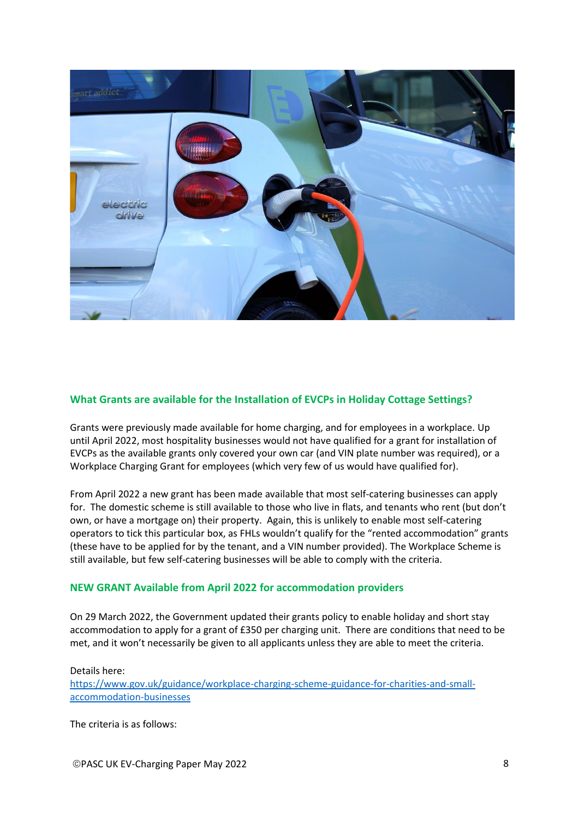

# **What Grants are available for the Installation of EVCPs in Holiday Cottage Settings?**

Grants were previously made available for home charging, and for employees in a workplace. Up until April 2022, most hospitality businesses would not have qualified for a grant for installation of EVCPs as the available grants only covered your own car (and VIN plate number was required), or a Workplace Charging Grant for employees (which very few of us would have qualified for).

From April 2022 a new grant has been made available that most self-catering businesses can apply for. The domestic scheme is still available to those who live in flats, and tenants who rent (but don't own, or have a mortgage on) their property. Again, this is unlikely to enable most self-catering operators to tick this particular box, as FHLs wouldn't qualify for the "rented accommodation" grants (these have to be applied for by the tenant, and a VIN number provided). The Workplace Scheme is still available, but few self-catering businesses will be able to comply with the criteria.

# **NEW GRANT Available from April 2022 for accommodation providers**

On 29 March 2022, the Government updated their grants policy to enable holiday and short stay accommodation to apply for a grant of £350 per charging unit. There are conditions that need to be met, and it won't necessarily be given to all applicants unless they are able to meet the criteria.

Details here: [https://www.gov.uk/guidance/workplace-charging-scheme-guidance-for-charities-and-small](https://www.gov.uk/guidance/workplace-charging-scheme-guidance-for-charities-and-small-accommodation-businesses)[accommodation-businesses](https://www.gov.uk/guidance/workplace-charging-scheme-guidance-for-charities-and-small-accommodation-businesses)

The criteria is as follows: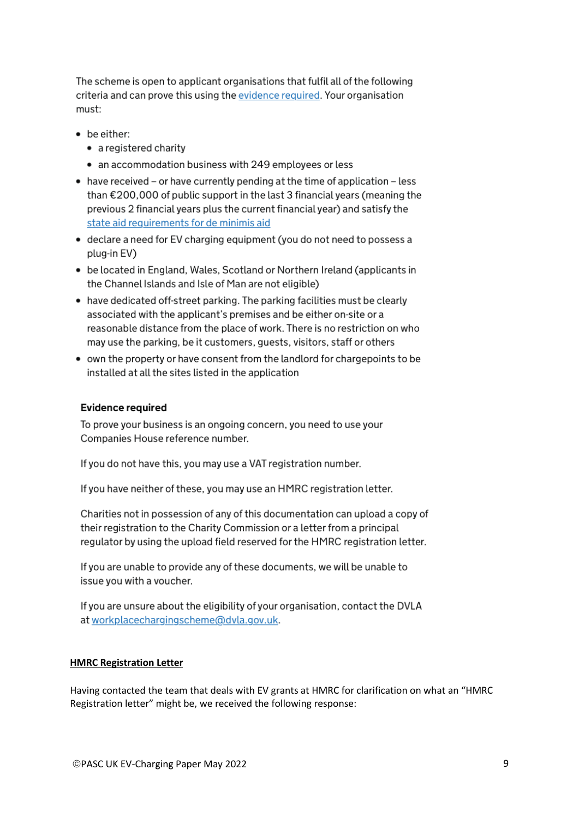The scheme is open to applicant organisations that fulfil all of the following criteria and can prove this using the evidence required. Your organisation must:

- be either:
	- a registered charity
	- an accommodation business with 249 employees or less
- $\bullet$  have received or have currently pending at the time of application less than €200,000 of public support in the last 3 financial years (meaning the previous 2 financial years plus the current financial year) and satisfy the state aid requirements for de minimis aid
- declare a need for EV charging equipment (you do not need to possess a plug-in EV)
- be located in England, Wales, Scotland or Northern Ireland (applicants in the Channel Islands and Isle of Man are not eligible)
- have dedicated off-street parking. The parking facilities must be clearly associated with the applicant's premises and be either on-site or a reasonable distance from the place of work. There is no restriction on who may use the parking, be it customers, guests, visitors, staff or others
- own the property or have consent from the landlord for chargepoints to be installed at all the sites listed in the application

# **Evidence required**

To prove your business is an ongoing concern, you need to use your Companies House reference number.

If you do not have this, you may use a VAT registration number.

If you have neither of these, you may use an HMRC registration letter.

Charities not in possession of any of this documentation can upload a copy of their registration to the Charity Commission or a letter from a principal regulator by using the upload field reserved for the HMRC registration letter.

If you are unable to provide any of these documents, we will be unable to issue you with a voucher.

If you are unsure about the eligibility of your organisation, contact the DVLA at workplacechargingscheme@dvla.gov.uk.

# **HMRC Registration Letter**

Having contacted the team that deals with EV grants at HMRC for clarification on what an "HMRC Registration letter" might be, we received the following response: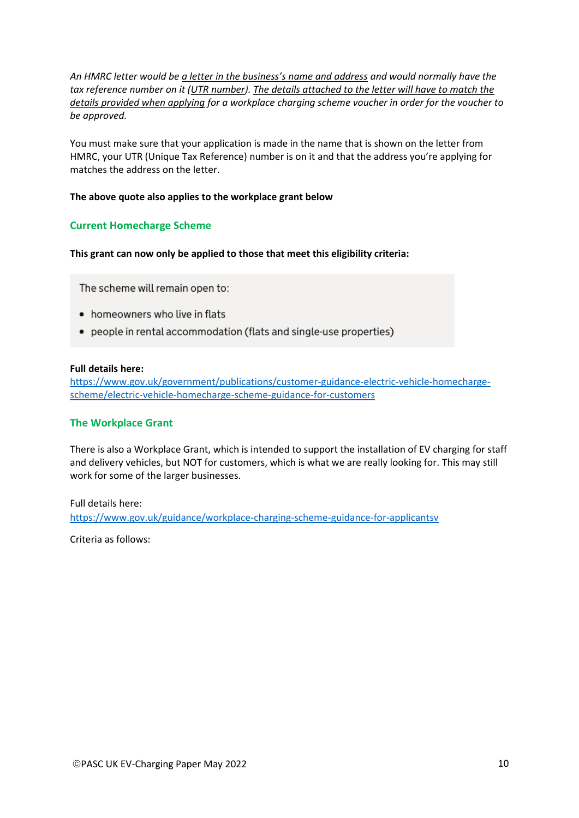*An HMRC letter would be a letter in the business's name and address and would normally have the tax reference number on it (UTR number). The details attached to the letter will have to match the details provided when applying for a workplace charging scheme voucher in order for the voucher to be approved.*

You must make sure that your application is made in the name that is shown on the letter from HMRC, your UTR (Unique Tax Reference) number is on it and that the address you're applying for matches the address on the letter.

### **The above quote also applies to the workplace grant below**

# **Current Homecharge Scheme**

**This grant can now only be applied to those that meet this eligibility criteria:**

The scheme will remain open to:

- homeowners who live in flats
- people in rental accommodation (flats and single-use properties)

### **Full details here:**

[https://www.gov.uk/government/publications/customer-guidance-electric-vehicle-homecharge](https://www.gov.uk/government/publications/customer-guidance-electric-vehicle-homecharge-scheme/electric-vehicle-homecharge-scheme-guidance-for-customers)[scheme/electric-vehicle-homecharge-scheme-guidance-for-customers](https://www.gov.uk/government/publications/customer-guidance-electric-vehicle-homecharge-scheme/electric-vehicle-homecharge-scheme-guidance-for-customers)

# **The Workplace Grant**

There is also a Workplace Grant, which is intended to support the installation of EV charging for staff and delivery vehicles, but NOT for customers, which is what we are really looking for. This may still work for some of the larger businesses.

Full details here: <https://www.gov.uk/guidance/workplace-charging-scheme-guidance-for-applicantsv>

Criteria as follows: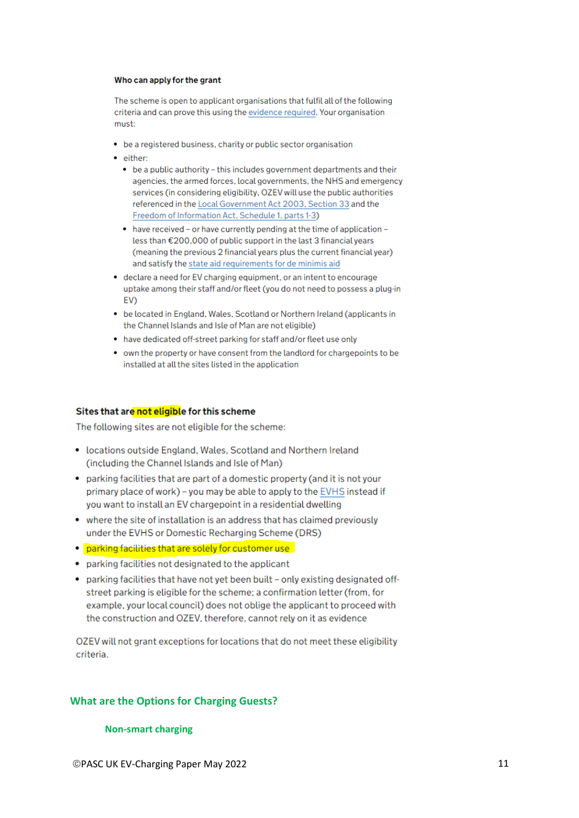#### Who can apply for the grant

The scheme is open to applicant organisations that fulfil all of the following criteria and can prove this using the evidence required. Your organisation must:

- be a registered business, charity or public sector organisation
- · either:
	- be a public authority this includes government departments and their agencies, the armed forces, local governments, the NHS and emergency services (in considering eligibility, OZEV will use the public authorities referenced in the Local Government Act 2003, Section 33 and the Freedom of Information Act, Schedule 1, parts 1-3)
	- have received or have currently pending at the time of application less than €200,000 of public support in the last 3 financial years (meaning the previous 2 financial years plus the current financial year) and satisfy the state aid requirements for de minimis aid
- declare a need for EV charging equipment, or an intent to encourage uptake among their staff and/or fleet (you do not need to possess a plug-in EV)
- . be located in England, Wales, Scotland or Northern Ireland (applicants in the Channel Islands and Isle of Man are not eligible)
- have dedicated off-street parking for staff and/or fleet use only
- own the property or have consent from the landlord for chargepoints to be installed at all the sites listed in the application

#### Sites that are not eligible for this scheme

The following sites are not eligible for the scheme:

- locations outside England, Wales, Scotland and Northern Ireland (including the Channel Islands and Isle of Man)
- parking facilities that are part of a domestic property (and it is not your primary place of work) - you may be able to apply to the EVHS instead if you want to install an EV chargepoint in a residential dwelling
- where the site of installation is an address that has claimed previously under the EVHS or Domestic Recharging Scheme (DRS)
- . parking facilities that are solely for customer use
- parking facilities not designated to the applicant
- parking facilities that have not yet been built only existing designated offstreet parking is eligible for the scheme; a confirmation letter (from, for example, your local council) does not oblige the applicant to proceed with the construction and OZEV, therefore, cannot rely on it as evidence

OZEV will not grant exceptions for locations that do not meet these eligibility criteria.

# **What are the Options for Charging Guests?**

### **Non-smart charging**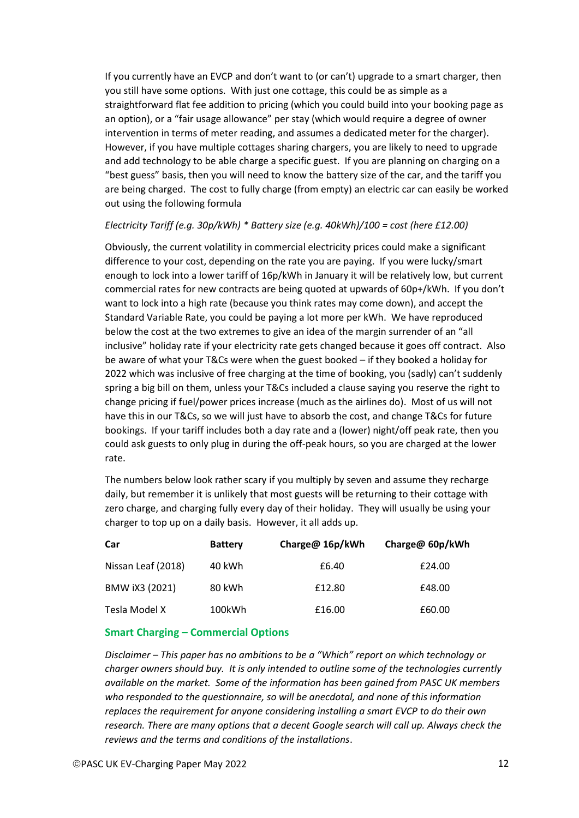If you currently have an EVCP and don't want to (or can't) upgrade to a smart charger, then you still have some options. With just one cottage, this could be as simple as a straightforward flat fee addition to pricing (which you could build into your booking page as an option), or a "fair usage allowance" per stay (which would require a degree of owner intervention in terms of meter reading, and assumes a dedicated meter for the charger). However, if you have multiple cottages sharing chargers, you are likely to need to upgrade and add technology to be able charge a specific guest. If you are planning on charging on a "best guess" basis, then you will need to know the battery size of the car, and the tariff you are being charged. The cost to fully charge (from empty) an electric car can easily be worked out using the following formula

# *Electricity Tariff (e.g. 30p/kWh) \* Battery size (e.g. 40kWh)/100 = cost (here £12.00)*

Obviously, the current volatility in commercial electricity prices could make a significant difference to your cost, depending on the rate you are paying. If you were lucky/smart enough to lock into a lower tariff of 16p/kWh in January it will be relatively low, but current commercial rates for new contracts are being quoted at upwards of 60p+/kWh. If you don't want to lock into a high rate (because you think rates may come down), and accept the Standard Variable Rate, you could be paying a lot more per kWh. We have reproduced below the cost at the two extremes to give an idea of the margin surrender of an "all inclusive" holiday rate if your electricity rate gets changed because it goes off contract. Also be aware of what your T&Cs were when the guest booked – if they booked a holiday for 2022 which was inclusive of free charging at the time of booking, you (sadly) can't suddenly spring a big bill on them, unless your T&Cs included a clause saying you reserve the right to change pricing if fuel/power prices increase (much as the airlines do). Most of us will not have this in our T&Cs, so we will just have to absorb the cost, and change T&Cs for future bookings. If your tariff includes both a day rate and a (lower) night/off peak rate, then you could ask guests to only plug in during the off-peak hours, so you are charged at the lower rate.

The numbers below look rather scary if you multiply by seven and assume they recharge daily, but remember it is unlikely that most guests will be returning to their cottage with zero charge, and charging fully every day of their holiday. They will usually be using your charger to top up on a daily basis. However, it all adds up.

| Car                | <b>Battery</b> | Charge@ 16p/kWh | Charge@ 60p/kWh |
|--------------------|----------------|-----------------|-----------------|
| Nissan Leaf (2018) | 40 kWh         | £6.40           | £24.00          |
| BMW iX3 (2021)     | 80 kWh         | £12.80          | £48.00          |
| Tesla Model X      | 100kWh         | £16.00          | £60.00          |

# **Smart Charging – Commercial Options**

*Disclaimer – This paper has no ambitions to be a "Which" report on which technology or charger owners should buy. It is only intended to outline some of the technologies currently available on the market. Some of the information has been gained from PASC UK members who responded to the questionnaire, so will be anecdotal, and none of this information replaces the requirement for anyone considering installing a smart EVCP to do their own research. There are many options that a decent Google search will call up. Always check the reviews and the terms and conditions of the installations*.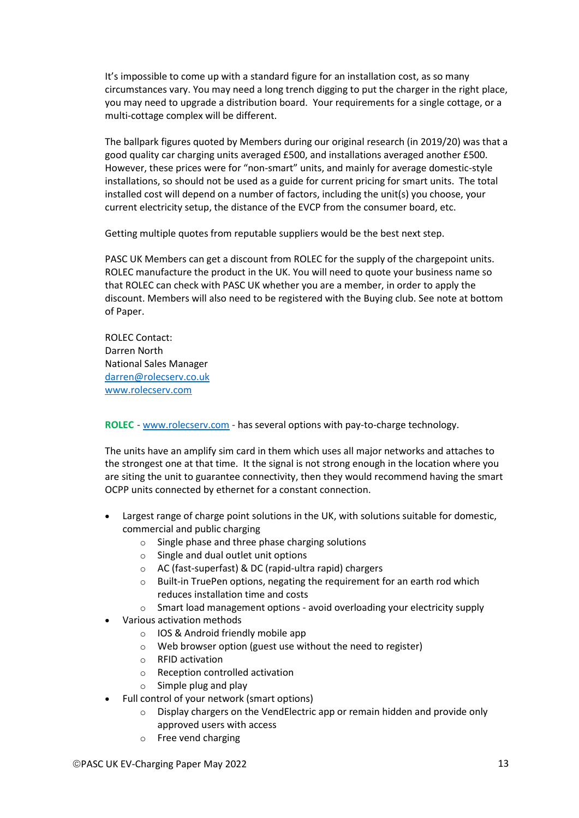It's impossible to come up with a standard figure for an installation cost, as so many circumstances vary. You may need a long trench digging to put the charger in the right place, you may need to upgrade a distribution board. Your requirements for a single cottage, or a multi-cottage complex will be different.

The ballpark figures quoted by Members during our original research (in 2019/20) was that a good quality car charging units averaged £500, and installations averaged another £500. However, these prices were for "non-smart" units, and mainly for average domestic-style installations, so should not be used as a guide for current pricing for smart units. The total installed cost will depend on a number of factors, including the unit(s) you choose, your current electricity setup, the distance of the EVCP from the consumer board, etc.

Getting multiple quotes from reputable suppliers would be the best next step.

PASC UK Members can get a discount from ROLEC for the supply of the chargepoint units. ROLEC manufacture the product in the UK. You will need to quote your business name so that ROLEC can check with PASC UK whether you are a member, in order to apply the discount. Members will also need to be registered with the Buying club. See note at bottom of Paper.

ROLEC Contact: Darren North National Sales Manager [darren@rolecserv.co.uk](mailto:darren@rolecserv.co.uk) [www.rolecserv.com](http://www.rolecserv.com/)

**ROLEC** - [www.rolecserv.com](http://www.rolecserv.com/) - has several options with pay-to-charge technology.

The units have an amplify sim card in them which uses all major networks and attaches to the strongest one at that time. It the signal is not strong enough in the location where you are siting the unit to guarantee connectivity, then they would recommend having the smart OCPP units connected by ethernet for a constant connection.

- Largest range of charge point solutions in the UK, with solutions suitable for domestic, commercial and public charging
	- o Single phase and three phase charging solutions
	- o Single and dual outlet unit options
	- o AC (fast-superfast) & DC (rapid-ultra rapid) chargers
	- $\circ$  Built-in TruePen options, negating the requirement for an earth rod which reduces installation time and costs
	- $\circ$  Smart load management options avoid overloading your electricity supply
- Various activation methods
	- o IOS & Android friendly mobile app
	- o Web browser option (guest use without the need to register)
	- o RFID activation
	- o Reception controlled activation
	- $\circ$  Simple plug and play
- Full control of your network (smart options)
	- o Display chargers on the VendElectric app or remain hidden and provide only approved users with access
	- o Free vend charging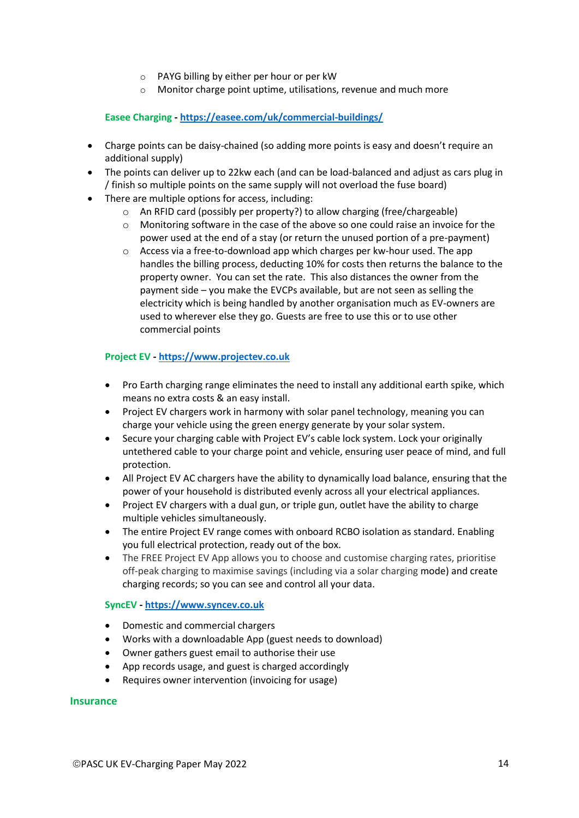- o PAYG billing by either per hour or per kW
- o Monitor charge point uptime, utilisations, revenue and much more

**Easee Charging - <https://easee.com/uk/commercial-buildings/>**

- Charge points can be daisy-chained (so adding more points is easy and doesn't require an additional supply)
- The points can deliver up to 22kw each (and can be load-balanced and adjust as cars plug in / finish so multiple points on the same supply will not overload the fuse board)
- There are multiple options for access, including:
	- o An RFID card (possibly per property?) to allow charging (free/chargeable)
	- $\circ$  Monitoring software in the case of the above so one could raise an invoice for the power used at the end of a stay (or return the unused portion of a pre-payment)
	- o Access via a free-to-download app which charges per kw-hour used. The app handles the billing process, deducting 10% for costs then returns the balance to the property owner. You can set the rate. This also distances the owner from the payment side – you make the EVCPs available, but are not seen as selling the electricity which is being handled by another organisation much as EV-owners are used to wherever else they go. Guests are free to use this or to use other commercial points

# **Project EV - [https://www.projectev.co.uk](https://www.projectev.co.uk/)**

- Pro Earth charging range eliminates the need to install any additional earth spike, which means no extra costs & an easy install.
- Project EV chargers work in harmony with solar panel technology, meaning you can charge your vehicle using the green energy generate by your solar system.
- Secure your charging cable with Project EV's cable lock system. Lock your originally untethered cable to your charge point and vehicle, ensuring user peace of mind, and full protection.
- All Project EV AC chargers have the ability to dynamically load balance, ensuring that the power of your household is distributed evenly across all your electrical appliances.
- Project EV chargers with a dual gun, or triple gun, outlet have the ability to charge multiple vehicles simultaneously.
- The entire Project EV range comes with onboard RCBO isolation as standard. Enabling you full electrical protection, ready out of the box.
- The FREE Project EV App allows you to choose and customise charging rates, prioritise off-peak charging to maximise savings (including via a solar charging mode) and create charging records; so you can see and control all your data.

# **SyncEV - [https://www.syncev.co.uk](https://www.syncev.co.uk/)**

- Domestic and commercial chargers
- Works with a downloadable App (guest needs to download)
- Owner gathers guest email to authorise their use
- App records usage, and guest is charged accordingly
- Requires owner intervention (invoicing for usage)

# **Insurance**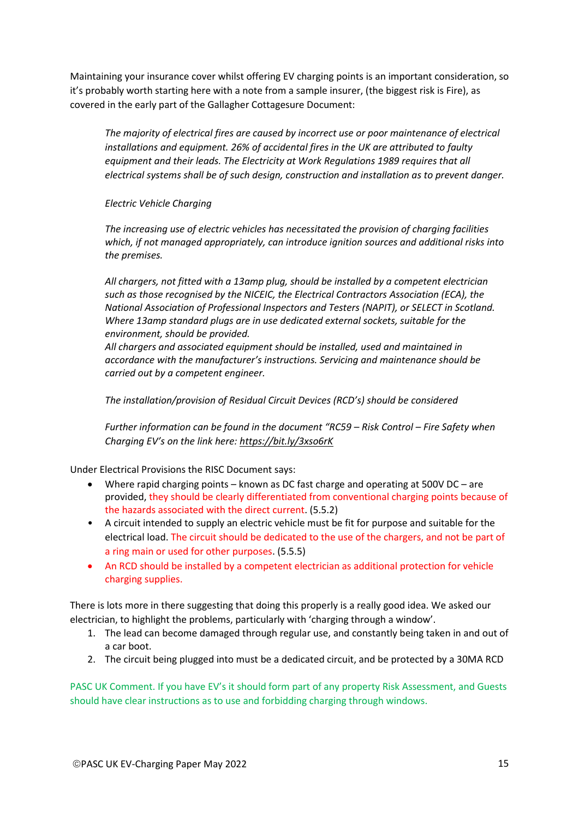Maintaining your insurance cover whilst offering EV charging points is an important consideration, so it's probably worth starting here with a note from a sample insurer, (the biggest risk is Fire), as covered in the early part of the Gallagher Cottagesure Document:

*The majority of electrical fires are caused by incorrect use or poor maintenance of electrical installations and equipment. 26% of accidental fires in the UK are attributed to faulty equipment and their leads. The Electricity at Work Regulations 1989 requires that all electrical systems shall be of such design, construction and installation as to prevent danger.*

*Electric Vehicle Charging*

*The increasing use of electric vehicles has necessitated the provision of charging facilities which, if not managed appropriately, can introduce ignition sources and additional risks into the premises.* 

*All chargers, not fitted with a 13amp plug, should be installed by a competent electrician such as those recognised by the NICEIC, the Electrical Contractors Association (ECA), the National Association of Professional Inspectors and Testers (NAPIT), or SELECT in Scotland. Where 13amp standard plugs are in use dedicated external sockets, suitable for the environment, should be provided.* 

*All chargers and associated equipment should be installed, used and maintained in accordance with the manufacturer's instructions. Servicing and maintenance should be carried out by a competent engineer.* 

*The installation/provision of Residual Circuit Devices (RCD's) should be considered* 

*Further information can be found in the document "RC59 – Risk Control – Fire Safety when Charging EV's on the link here: <https://bit.ly/3xso6rK>*

Under Electrical Provisions the RISC Document says:

- Where rapid charging points known as DC fast charge and operating at 500V DC are provided, they should be clearly differentiated from conventional charging points because of the hazards associated with the direct current. (5.5.2)
- A circuit intended to supply an electric vehicle must be fit for purpose and suitable for the electrical load. The circuit should be dedicated to the use of the chargers, and not be part of a ring main or used for other purposes. (5.5.5)
- An RCD should be installed by a competent electrician as additional protection for vehicle charging supplies.

There is lots more in there suggesting that doing this properly is a really good idea. We asked our electrician, to highlight the problems, particularly with 'charging through a window'.

- 1. The lead can become damaged through regular use, and constantly being taken in and out of a car boot.
- 2. The circuit being plugged into must be a dedicated circuit, and be protected by a 30MA RCD

PASC UK Comment. If you have EV's it should form part of any property Risk Assessment, and Guests should have clear instructions as to use and forbidding charging through windows.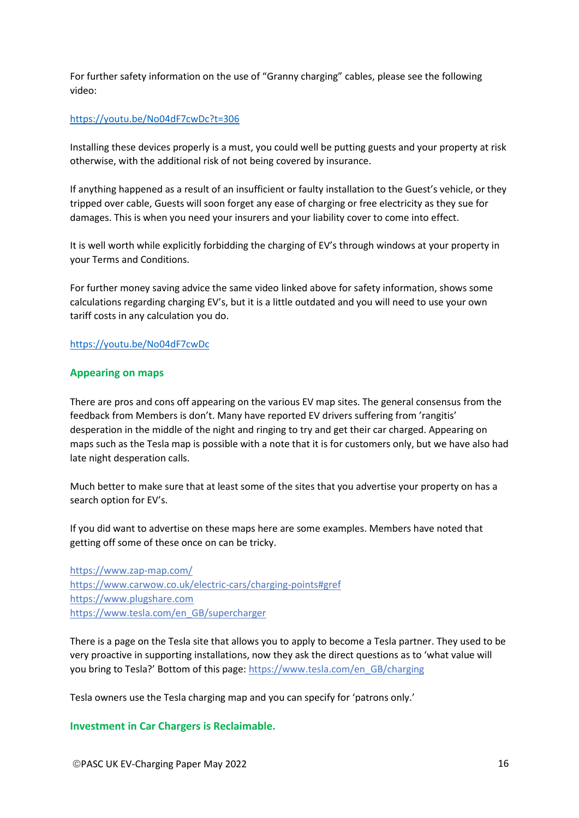For further safety information on the use of "Granny charging" cables, please see the following video:

# <https://youtu.be/No04dF7cwDc?t=306>

Installing these devices properly is a must, you could well be putting guests and your property at risk otherwise, with the additional risk of not being covered by insurance.

If anything happened as a result of an insufficient or faulty installation to the Guest's vehicle, or they tripped over cable, Guests will soon forget any ease of charging or free electricity as they sue for damages. This is when you need your insurers and your liability cover to come into effect.

It is well worth while explicitly forbidding the charging of EV's through windows at your property in your Terms and Conditions.

For further money saving advice the same video linked above for safety information, shows some calculations regarding charging EV's, but it is a little outdated and you will need to use your own tariff costs in any calculation you do.

# <https://youtu.be/No04dF7cwDc>

# **Appearing on maps**

There are pros and cons off appearing on the various EV map sites. The general consensus from the feedback from Members is don't. Many have reported EV drivers suffering from 'rangitis' desperation in the middle of the night and ringing to try and get their car charged. Appearing on maps such as the Tesla map is possible with a note that it is for customers only, but we have also had late night desperation calls.

Much better to make sure that at least some of the sites that you advertise your property on has a search option for EV's.

If you did want to advertise on these maps here are some examples. Members have noted that getting off some of these once on can be tricky.

<https://www.zap-map.com/> <https://www.carwow.co.uk/electric-cars/charging-points#gref> [https://www.plugshare.com](https://www.plugshare.com/) [https://www.tesla.com/en\\_GB/supercharger](https://www.tesla.com/en_GB/supercharger)

There is a page on the Tesla site that allows you to apply to become a Tesla partner. They used to be very proactive in supporting installations, now they ask the direct questions as to 'what value will you bring to Tesla?' Bottom of this page: [https://www.tesla.com/en\\_GB/charging](https://www.tesla.com/en_GB/charging)

Tesla owners use the Tesla charging map and you can specify for 'patrons only.'

# **Investment in Car Chargers is Reclaimable.**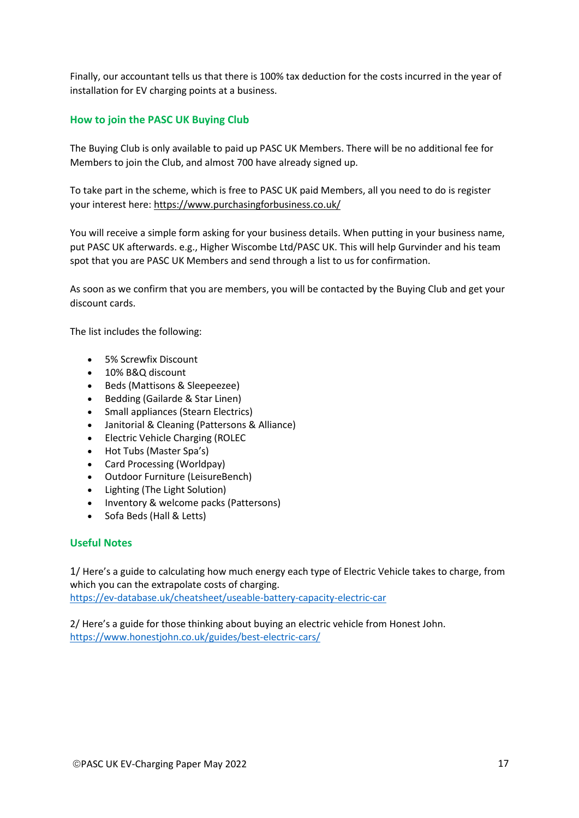Finally, our accountant tells us that there is 100% tax deduction for the costs incurred in the year of installation for EV charging points at a business.

# **How to join the PASC UK Buying Club**

The Buying Club is only available to paid up PASC UK Members. There will be no additional fee for Members to join the Club, and almost 700 have already signed up.

To take part in the scheme, which is free to PASC UK paid Members, all you need to do is register your interest here:<https://www.purchasingforbusiness.co.uk/>

You will receive a simple form asking for your business details. When putting in your business name, put PASC UK afterwards. e.g., Higher Wiscombe Ltd/PASC UK. This will help Gurvinder and his team spot that you are PASC UK Members and send through a list to us for confirmation.

As soon as we confirm that you are members, you will be contacted by the Buying Club and get your discount cards.

The list includes the following:

- 5% Screwfix Discount
- 10% B&Q discount
- Beds (Mattisons & Sleepeezee)
- Bedding (Gailarde & Star Linen)
- Small appliances (Stearn Electrics)
- Janitorial & Cleaning (Pattersons & Alliance)
- Electric Vehicle Charging (ROLEC
- Hot Tubs (Master Spa's)
- Card Processing (Worldpay)
- Outdoor Furniture (LeisureBench)
- Lighting (The Light Solution)
- Inventory & welcome packs (Pattersons)
- Sofa Beds (Hall & Letts)

# **Useful Notes**

1/ Here's a guide to calculating how much energy each type of Electric Vehicle takes to charge, from which you can the extrapolate costs of charging. <https://ev-database.uk/cheatsheet/useable-battery-capacity-electric-car>

2/ Here's a guide for those thinking about buying an electric vehicle from Honest John. <https://www.honestjohn.co.uk/guides/best-electric-cars/>